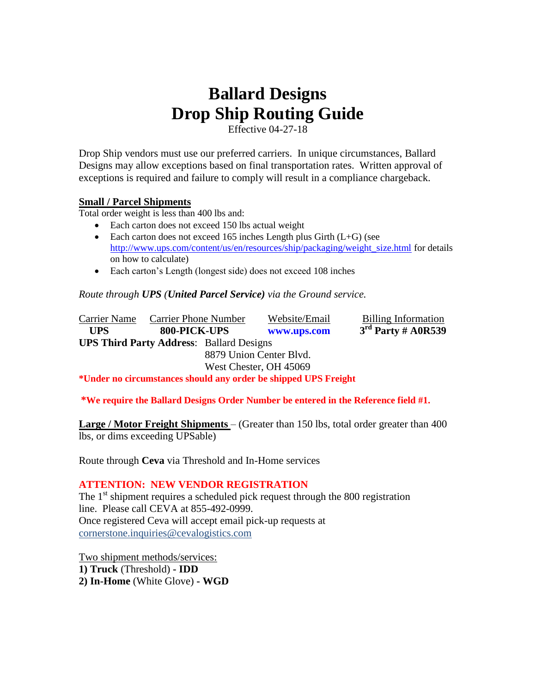## **Ballard Designs Drop Ship Routing Guide**

Effective 04-27-18

Drop Ship vendors must use our preferred carriers. In unique circumstances, Ballard Designs may allow exceptions based on final transportation rates. Written approval of exceptions is required and failure to comply will result in a compliance chargeback.

## **Small / Parcel Shipments**

Total order weight is less than 400 lbs and:

- Each carton does not exceed 150 lbs actual weight
- Each carton does not exceed 165 inches Length plus Girth  $(L+G)$  (see [http://www.ups.com/content/us/en/resources/ship/packaging/weight\\_size.html](http://www.ups.com/content/us/en/resources/ship/packaging/weight_size.html) for details on how to calculate)
- Each carton's Length (longest side) does not exceed 108 inches

*Route through UPS (United Parcel Service) via the Ground service.*

Carrier Name Carrier Phone Number Website/Email Billing Information  **UPS 800-PICK-UPS [www.ups.com](http://www.ups.com/) 3 rd Party # A0R539 UPS Third Party Address**: Ballard Designs 8879 Union Center Blvd. West Chester, OH 45069

**\*Under no circumstances should any order be shipped UPS Freight**

## **\*We require the Ballard Designs Order Number be entered in the Reference field #1.**

**Large / Motor Freight Shipments** – (Greater than 150 lbs, total order greater than 400 lbs, or dims exceeding UPSable)

Route through **Ceva** via Threshold and In-Home services

## **ATTENTION: NEW VENDOR REGISTRATION**

The  $1<sup>st</sup>$  shipment requires a scheduled pick request through the 800 registration line. Please call CEVA at 855-492-0999. Once registered Ceva will accept email pick-up requests at [cornerstone.inquiries@cevalogistics.com](mailto:cornerstone.inquiries@cevalogistics.com)

Two shipment methods/services: **1) Truck** (Threshold) **- IDD 2) In-Home** (White Glove) **- WGD**